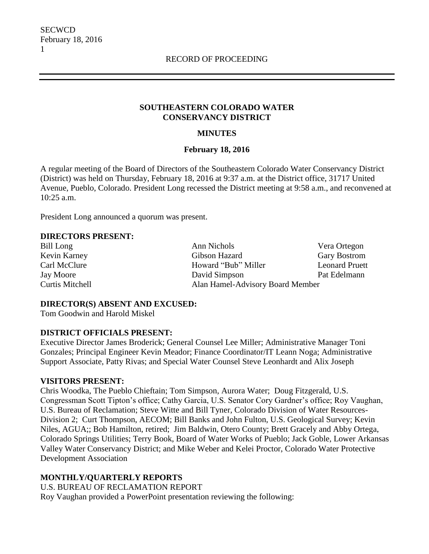### **SOUTHEASTERN COLORADO WATER CONSERVANCY DISTRICT**

### **MINUTES**

### **February 18, 2016**

A regular meeting of the Board of Directors of the Southeastern Colorado Water Conservancy District (District) was held on Thursday, February 18, 2016 at 9:37 a.m. at the District office, 31717 United Avenue, Pueblo, Colorado. President Long recessed the District meeting at 9:58 a.m., and reconvened at 10:25 a.m.

President Long announced a quorum was present.

#### **DIRECTORS PRESENT:**

Bill Long **Ann Nichols** Ann Nichols **Vera Ortegon** Kevin Karney Gibson Hazard Gary Bostrom Carl McClure Howard "Bub" Miller Leonard Pruett Jay Moore David Simpson Pat Edelmann Curtis Mitchell Alan Hamel-Advisory Board Member

### **DIRECTOR(S) ABSENT AND EXCUSED:**

Tom Goodwin and Harold Miskel

### **DISTRICT OFFICIALS PRESENT:**

Executive Director James Broderick; General Counsel Lee Miller; Administrative Manager Toni Gonzales; Principal Engineer Kevin Meador; Finance Coordinator/IT Leann Noga; Administrative Support Associate, Patty Rivas; and Special Water Counsel Steve Leonhardt and Alix Joseph

### **VISITORS PRESENT:**

Chris Woodka, The Pueblo Chieftain; Tom Simpson, Aurora Water; Doug Fitzgerald, U.S. Congressman Scott Tipton's office; Cathy Garcia, U.S. Senator Cory Gardner's office; Roy Vaughan, U.S. Bureau of Reclamation; Steve Witte and Bill Tyner, Colorado Division of Water Resources-Division 2; Curt Thompson, AECOM; Bill Banks and John Fulton, U.S. Geological Survey; Kevin Niles, AGUA;; Bob Hamilton, retired; Jim Baldwin, Otero County; Brett Gracely and Abby Ortega, Colorado Springs Utilities; Terry Book, Board of Water Works of Pueblo; Jack Goble, Lower Arkansas Valley Water Conservancy District; and Mike Weber and Kelei Proctor, Colorado Water Protective Development Association

### **MONTHLY/QUARTERLY REPORTS**

U.S. BUREAU OF RECLAMATION REPORT Roy Vaughan provided a PowerPoint presentation reviewing the following: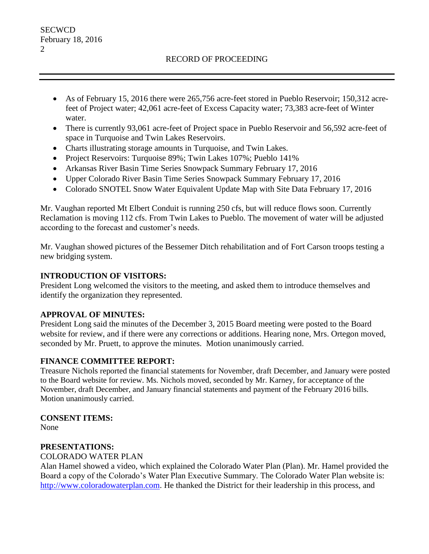### RECORD OF PROCEEDING

- As of February 15, 2016 there were 265,756 acre-feet stored in Pueblo Reservoir; 150,312 acrefeet of Project water; 42,061 acre-feet of Excess Capacity water; 73,383 acre-feet of Winter water.
- There is currently 93,061 acre-feet of Project space in Pueblo Reservoir and 56,592 acre-feet of space in Turquoise and Twin Lakes Reservoirs.
- Charts illustrating storage amounts in Turquoise, and Twin Lakes.
- Project Reservoirs: Turquoise 89%; Twin Lakes 107%; Pueblo 141%
- Arkansas River Basin Time Series Snowpack Summary February 17, 2016
- Upper Colorado River Basin Time Series Snowpack Summary February 17, 2016
- Colorado SNOTEL Snow Water Equivalent Update Map with Site Data February 17, 2016

Mr. Vaughan reported Mt Elbert Conduit is running 250 cfs, but will reduce flows soon. Currently Reclamation is moving 112 cfs. From Twin Lakes to Pueblo. The movement of water will be adjusted according to the forecast and customer's needs.

Mr. Vaughan showed pictures of the Bessemer Ditch rehabilitation and of Fort Carson troops testing a new bridging system.

### **INTRODUCTION OF VISITORS:**

President Long welcomed the visitors to the meeting, and asked them to introduce themselves and identify the organization they represented.

### **APPROVAL OF MINUTES:**

President Long said the minutes of the December 3, 2015 Board meeting were posted to the Board website for review, and if there were any corrections or additions. Hearing none, Mrs. Ortegon moved, seconded by Mr. Pruett, to approve the minutes. Motion unanimously carried.

## **FINANCE COMMITTEE REPORT:**

Treasure Nichols reported the financial statements for November, draft December, and January were posted to the Board website for review. Ms. Nichols moved, seconded by Mr. Karney, for acceptance of the November, draft December, and January financial statements and payment of the February 2016 bills. Motion unanimously carried.

## **CONSENT ITEMS:**

None

## **PRESENTATIONS:**

COLORADO WATER PLAN

Alan Hamel showed a video, which explained the Colorado Water Plan (Plan). Mr. Hamel provided the Board a copy of the Colorado's Water Plan Executive Summary. The Colorado Water Plan website is: [http://www.coloradowaterplan.com.](http://www.coloradowaterplan.com/) He thanked the District for their leadership in this process, and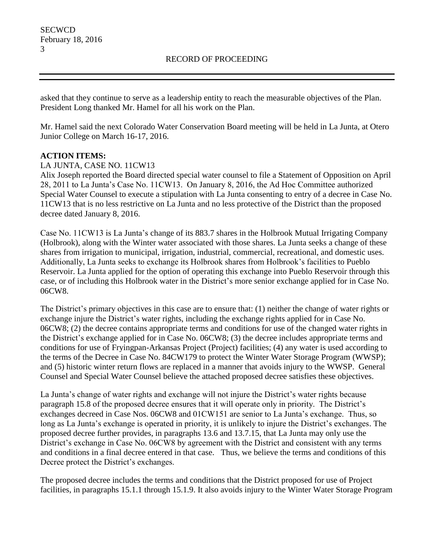asked that they continue to serve as a leadership entity to reach the measurable objectives of the Plan. President Long thanked Mr. Hamel for all his work on the Plan.

Mr. Hamel said the next Colorado Water Conservation Board meeting will be held in La Junta, at Otero Junior College on March 16-17, 2016.

## **ACTION ITEMS:**

### LA JUNTA, CASE NO. 11CW13

Alix Joseph reported the Board directed special water counsel to file a Statement of Opposition on April 28, 2011 to La Junta's Case No. 11CW13. On January 8, 2016, the Ad Hoc Committee authorized Special Water Counsel to execute a stipulation with La Junta consenting to entry of a decree in Case No. 11CW13 that is no less restrictive on La Junta and no less protective of the District than the proposed decree dated January 8, 2016.

Case No. 11CW13 is La Junta's change of its 883.7 shares in the Holbrook Mutual Irrigating Company (Holbrook), along with the Winter water associated with those shares. La Junta seeks a change of these shares from irrigation to municipal, irrigation, industrial, commercial, recreational, and domestic uses. Additionally, La Junta seeks to exchange its Holbrook shares from Holbrook's facilities to Pueblo Reservoir. La Junta applied for the option of operating this exchange into Pueblo Reservoir through this case, or of including this Holbrook water in the District's more senior exchange applied for in Case No. 06CW8.

The District's primary objectives in this case are to ensure that: (1) neither the change of water rights or exchange injure the District's water rights, including the exchange rights applied for in Case No. 06CW8; (2) the decree contains appropriate terms and conditions for use of the changed water rights in the District's exchange applied for in Case No. 06CW8; (3) the decree includes appropriate terms and conditions for use of Fryingpan-Arkansas Project (Project) facilities; (4) any water is used according to the terms of the Decree in Case No. 84CW179 to protect the Winter Water Storage Program (WWSP); and (5) historic winter return flows are replaced in a manner that avoids injury to the WWSP. General Counsel and Special Water Counsel believe the attached proposed decree satisfies these objectives.

La Junta's change of water rights and exchange will not injure the District's water rights because paragraph 15.8 of the proposed decree ensures that it will operate only in priority. The District's exchanges decreed in Case Nos. 06CW8 and 01CW151 are senior to La Junta's exchange. Thus, so long as La Junta's exchange is operated in priority, it is unlikely to injure the District's exchanges. The proposed decree further provides, in paragraphs 13.6 and 13.7.15, that La Junta may only use the District's exchange in Case No. 06CW8 by agreement with the District and consistent with any terms and conditions in a final decree entered in that case. Thus, we believe the terms and conditions of this Decree protect the District's exchanges.

The proposed decree includes the terms and conditions that the District proposed for use of Project facilities, in paragraphs 15.1.1 through 15.1.9. It also avoids injury to the Winter Water Storage Program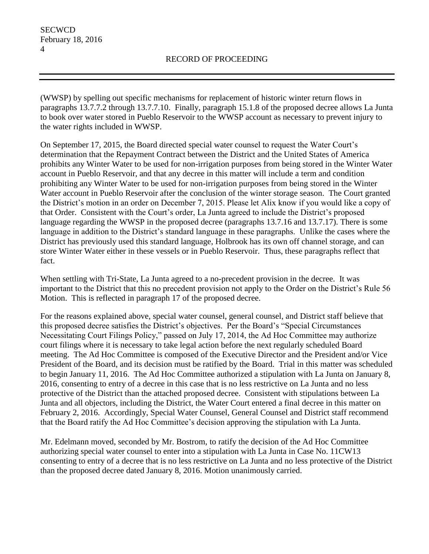(WWSP) by spelling out specific mechanisms for replacement of historic winter return flows in paragraphs 13.7.7.2 through 13.7.7.10. Finally, paragraph 15.1.8 of the proposed decree allows La Junta to book over water stored in Pueblo Reservoir to the WWSP account as necessary to prevent injury to the water rights included in WWSP.

On September 17, 2015, the Board directed special water counsel to request the Water Court's determination that the Repayment Contract between the District and the United States of America prohibits any Winter Water to be used for non-irrigation purposes from being stored in the Winter Water account in Pueblo Reservoir, and that any decree in this matter will include a term and condition prohibiting any Winter Water to be used for non-irrigation purposes from being stored in the Winter Water account in Pueblo Reservoir after the conclusion of the winter storage season. The Court granted the District's motion in an order on December 7, 2015. Please let Alix know if you would like a copy of that Order. Consistent with the Court's order, La Junta agreed to include the District's proposed language regarding the WWSP in the proposed decree (paragraphs 13.7.16 and 13.7.17). There is some language in addition to the District's standard language in these paragraphs. Unlike the cases where the District has previously used this standard language, Holbrook has its own off channel storage, and can store Winter Water either in these vessels or in Pueblo Reservoir. Thus, these paragraphs reflect that fact.

When settling with Tri-State, La Junta agreed to a no-precedent provision in the decree. It was important to the District that this no precedent provision not apply to the Order on the District's Rule 56 Motion. This is reflected in paragraph 17 of the proposed decree.

For the reasons explained above, special water counsel, general counsel, and District staff believe that this proposed decree satisfies the District's objectives. Per the Board's "Special Circumstances Necessitating Court Filings Policy," passed on July 17, 2014, the Ad Hoc Committee may authorize court filings where it is necessary to take legal action before the next regularly scheduled Board meeting. The Ad Hoc Committee is composed of the Executive Director and the President and/or Vice President of the Board, and its decision must be ratified by the Board. Trial in this matter was scheduled to begin January 11, 2016. The Ad Hoc Committee authorized a stipulation with La Junta on January 8, 2016, consenting to entry of a decree in this case that is no less restrictive on La Junta and no less protective of the District than the attached proposed decree. Consistent with stipulations between La Junta and all objectors, including the District, the Water Court entered a final decree in this matter on February 2, 2016. Accordingly, Special Water Counsel, General Counsel and District staff recommend that the Board ratify the Ad Hoc Committee's decision approving the stipulation with La Junta.

Mr. Edelmann moved, seconded by Mr. Bostrom, to ratify the decision of the Ad Hoc Committee authorizing special water counsel to enter into a stipulation with La Junta in Case No. 11CW13 consenting to entry of a decree that is no less restrictive on La Junta and no less protective of the District than the proposed decree dated January 8, 2016. Motion unanimously carried.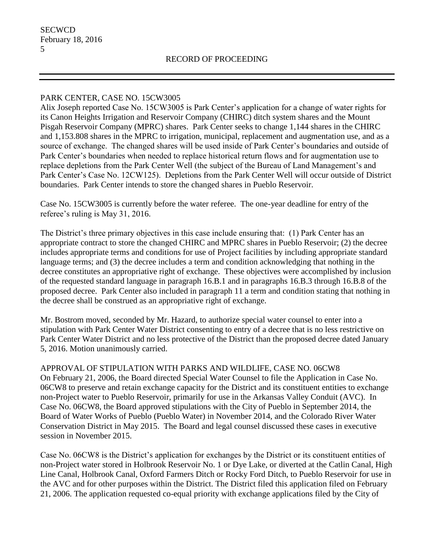### PARK CENTER, CASE NO. 15CW3005

Alix Joseph reported Case No. 15CW3005 is Park Center's application for a change of water rights for its Canon Heights Irrigation and Reservoir Company (CHIRC) ditch system shares and the Mount Pisgah Reservoir Company (MPRC) shares. Park Center seeks to change 1,144 shares in the CHIRC and 1,153.808 shares in the MPRC to irrigation, municipal, replacement and augmentation use, and as a source of exchange. The changed shares will be used inside of Park Center's boundaries and outside of Park Center's boundaries when needed to replace historical return flows and for augmentation use to replace depletions from the Park Center Well (the subject of the Bureau of Land Management's and Park Center's Case No. 12CW125). Depletions from the Park Center Well will occur outside of District boundaries. Park Center intends to store the changed shares in Pueblo Reservoir.

Case No. 15CW3005 is currently before the water referee. The one-year deadline for entry of the referee's ruling is May 31, 2016.

The District's three primary objectives in this case include ensuring that: (1) Park Center has an appropriate contract to store the changed CHIRC and MPRC shares in Pueblo Reservoir; (2) the decree includes appropriate terms and conditions for use of Project facilities by including appropriate standard language terms; and (3) the decree includes a term and condition acknowledging that nothing in the decree constitutes an appropriative right of exchange. These objectives were accomplished by inclusion of the requested standard language in paragraph 16.B.1 and in paragraphs 16.B.3 through 16.B.8 of the proposed decree. Park Center also included in paragraph 11 a term and condition stating that nothing in the decree shall be construed as an appropriative right of exchange.

Mr. Bostrom moved, seconded by Mr. Hazard, to authorize special water counsel to enter into a stipulation with Park Center Water District consenting to entry of a decree that is no less restrictive on Park Center Water District and no less protective of the District than the proposed decree dated January 5, 2016. Motion unanimously carried.

APPROVAL OF STIPULATION WITH PARKS AND WILDLIFE, CASE NO. 06CW8 On February 21, 2006, the Board directed Special Water Counsel to file the Application in Case No. 06CW8 to preserve and retain exchange capacity for the District and its constituent entities to exchange non-Project water to Pueblo Reservoir, primarily for use in the Arkansas Valley Conduit (AVC). In Case No. 06CW8, the Board approved stipulations with the City of Pueblo in September 2014, the Board of Water Works of Pueblo (Pueblo Water) in November 2014, and the Colorado River Water Conservation District in May 2015. The Board and legal counsel discussed these cases in executive session in November 2015.

Case No. 06CW8 is the District's application for exchanges by the District or its constituent entities of non-Project water stored in Holbrook Reservoir No. 1 or Dye Lake, or diverted at the Catlin Canal, High Line Canal, Holbrook Canal, Oxford Farmers Ditch or Rocky Ford Ditch, to Pueblo Reservoir for use in the AVC and for other purposes within the District. The District filed this application filed on February 21, 2006. The application requested co-equal priority with exchange applications filed by the City of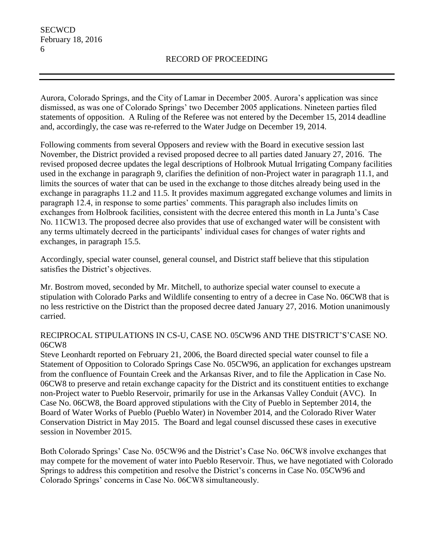Aurora, Colorado Springs, and the City of Lamar in December 2005. Aurora's application was since dismissed, as was one of Colorado Springs' two December 2005 applications. Nineteen parties filed statements of opposition. A Ruling of the Referee was not entered by the December 15, 2014 deadline and, accordingly, the case was re-referred to the Water Judge on December 19, 2014.

Following comments from several Opposers and review with the Board in executive session last November, the District provided a revised proposed decree to all parties dated January 27, 2016. The revised proposed decree updates the legal descriptions of Holbrook Mutual Irrigating Company facilities used in the exchange in paragraph 9, clarifies the definition of non-Project water in paragraph 11.1, and limits the sources of water that can be used in the exchange to those ditches already being used in the exchange in paragraphs 11.2 and 11.5. It provides maximum aggregated exchange volumes and limits in paragraph 12.4, in response to some parties' comments. This paragraph also includes limits on exchanges from Holbrook facilities, consistent with the decree entered this month in La Junta's Case No. 11CW13. The proposed decree also provides that use of exchanged water will be consistent with any terms ultimately decreed in the participants' individual cases for changes of water rights and exchanges, in paragraph 15.5.

Accordingly, special water counsel, general counsel, and District staff believe that this stipulation satisfies the District's objectives.

Mr. Bostrom moved, seconded by Mr. Mitchell, to authorize special water counsel to execute a stipulation with Colorado Parks and Wildlife consenting to entry of a decree in Case No. 06CW8 that is no less restrictive on the District than the proposed decree dated January 27, 2016. Motion unanimously carried.

### RECIPROCAL STIPULATIONS IN CS-U, CASE NO. 05CW96 AND THE DISTRICT'S'CASE NO. 06CW8

Steve Leonhardt reported on February 21, 2006, the Board directed special water counsel to file a Statement of Opposition to Colorado Springs Case No. 05CW96, an application for exchanges upstream from the confluence of Fountain Creek and the Arkansas River, and to file the Application in Case No. 06CW8 to preserve and retain exchange capacity for the District and its constituent entities to exchange non-Project water to Pueblo Reservoir, primarily for use in the Arkansas Valley Conduit (AVC). In Case No. 06CW8, the Board approved stipulations with the City of Pueblo in September 2014, the Board of Water Works of Pueblo (Pueblo Water) in November 2014, and the Colorado River Water Conservation District in May 2015. The Board and legal counsel discussed these cases in executive session in November 2015.

Both Colorado Springs' Case No. 05CW96 and the District's Case No. 06CW8 involve exchanges that may compete for the movement of water into Pueblo Reservoir. Thus, we have negotiated with Colorado Springs to address this competition and resolve the District's concerns in Case No. 05CW96 and Colorado Springs' concerns in Case No. 06CW8 simultaneously.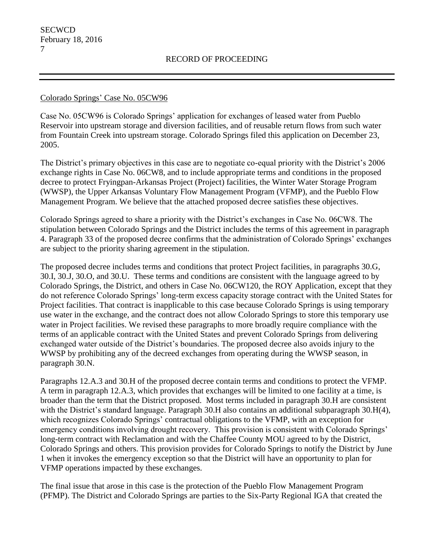### Colorado Springs' Case No. 05CW96

Case No. 05CW96 is Colorado Springs' application for exchanges of leased water from Pueblo Reservoir into upstream storage and diversion facilities, and of reusable return flows from such water from Fountain Creek into upstream storage. Colorado Springs filed this application on December 23, 2005.

The District's primary objectives in this case are to negotiate co-equal priority with the District's 2006 exchange rights in Case No. 06CW8, and to include appropriate terms and conditions in the proposed decree to protect Fryingpan-Arkansas Project (Project) facilities, the Winter Water Storage Program (WWSP), the Upper Arkansas Voluntary Flow Management Program (VFMP), and the Pueblo Flow Management Program. We believe that the attached proposed decree satisfies these objectives.

Colorado Springs agreed to share a priority with the District's exchanges in Case No. 06CW8. The stipulation between Colorado Springs and the District includes the terms of this agreement in paragraph 4. Paragraph 33 of the proposed decree confirms that the administration of Colorado Springs' exchanges are subject to the priority sharing agreement in the stipulation.

The proposed decree includes terms and conditions that protect Project facilities, in paragraphs 30.G, 30.I, 30.J, 30.O, and 30.U. These terms and conditions are consistent with the language agreed to by Colorado Springs, the District, and others in Case No. 06CW120, the ROY Application, except that they do not reference Colorado Springs' long-term excess capacity storage contract with the United States for Project facilities. That contract is inapplicable to this case because Colorado Springs is using temporary use water in the exchange, and the contract does not allow Colorado Springs to store this temporary use water in Project facilities. We revised these paragraphs to more broadly require compliance with the terms of an applicable contract with the United States and prevent Colorado Springs from delivering exchanged water outside of the District's boundaries. The proposed decree also avoids injury to the WWSP by prohibiting any of the decreed exchanges from operating during the WWSP season, in paragraph 30.N.

Paragraphs 12.A.3 and 30.H of the proposed decree contain terms and conditions to protect the VFMP. A term in paragraph 12.A.3, which provides that exchanges will be limited to one facility at a time, is broader than the term that the District proposed. Most terms included in paragraph 30.H are consistent with the District's standard language. Paragraph 30.H also contains an additional subparagraph 30.H(4), which recognizes Colorado Springs' contractual obligations to the VFMP, with an exception for emergency conditions involving drought recovery. This provision is consistent with Colorado Springs' long-term contract with Reclamation and with the Chaffee County MOU agreed to by the District, Colorado Springs and others. This provision provides for Colorado Springs to notify the District by June 1 when it invokes the emergency exception so that the District will have an opportunity to plan for VFMP operations impacted by these exchanges.

The final issue that arose in this case is the protection of the Pueblo Flow Management Program (PFMP). The District and Colorado Springs are parties to the Six-Party Regional IGA that created the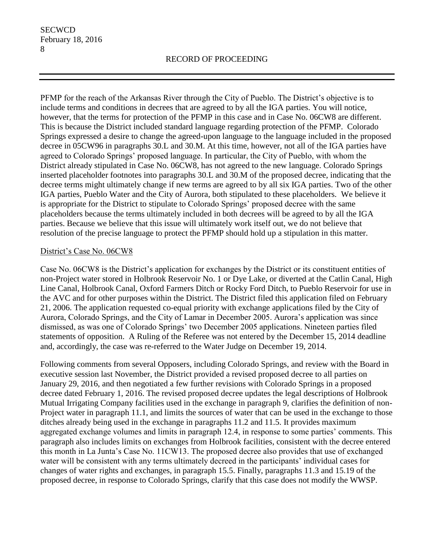PFMP for the reach of the Arkansas River through the City of Pueblo. The District's objective is to include terms and conditions in decrees that are agreed to by all the IGA parties. You will notice, however, that the terms for protection of the PFMP in this case and in Case No. 06CW8 are different. This is because the District included standard language regarding protection of the PFMP. Colorado Springs expressed a desire to change the agreed-upon language to the language included in the proposed decree in 05CW96 in paragraphs 30.L and 30.M. At this time, however, not all of the IGA parties have agreed to Colorado Springs' proposed language. In particular, the City of Pueblo, with whom the District already stipulated in Case No. 06CW8, has not agreed to the new language. Colorado Springs inserted placeholder footnotes into paragraphs 30.L and 30.M of the proposed decree, indicating that the decree terms might ultimately change if new terms are agreed to by all six IGA parties. Two of the other IGA parties, Pueblo Water and the City of Aurora, both stipulated to these placeholders. We believe it is appropriate for the District to stipulate to Colorado Springs' proposed decree with the same placeholders because the terms ultimately included in both decrees will be agreed to by all the IGA parties. Because we believe that this issue will ultimately work itself out, we do not believe that resolution of the precise language to protect the PFMP should hold up a stipulation in this matter.

### District's Case No. 06CW8

Case No. 06CW8 is the District's application for exchanges by the District or its constituent entities of non-Project water stored in Holbrook Reservoir No. 1 or Dye Lake, or diverted at the Catlin Canal, High Line Canal, Holbrook Canal, Oxford Farmers Ditch or Rocky Ford Ditch, to Pueblo Reservoir for use in the AVC and for other purposes within the District. The District filed this application filed on February 21, 2006. The application requested co-equal priority with exchange applications filed by the City of Aurora, Colorado Springs, and the City of Lamar in December 2005. Aurora's application was since dismissed, as was one of Colorado Springs' two December 2005 applications. Nineteen parties filed statements of opposition. A Ruling of the Referee was not entered by the December 15, 2014 deadline and, accordingly, the case was re-referred to the Water Judge on December 19, 2014.

Following comments from several Opposers, including Colorado Springs, and review with the Board in executive session last November, the District provided a revised proposed decree to all parties on January 29, 2016, and then negotiated a few further revisions with Colorado Springs in a proposed decree dated February 1, 2016. The revised proposed decree updates the legal descriptions of Holbrook Mutual Irrigating Company facilities used in the exchange in paragraph 9, clarifies the definition of non-Project water in paragraph 11.1, and limits the sources of water that can be used in the exchange to those ditches already being used in the exchange in paragraphs 11.2 and 11.5. It provides maximum aggregated exchange volumes and limits in paragraph 12.4, in response to some parties' comments. This paragraph also includes limits on exchanges from Holbrook facilities, consistent with the decree entered this month in La Junta's Case No. 11CW13. The proposed decree also provides that use of exchanged water will be consistent with any terms ultimately decreed in the participants' individual cases for changes of water rights and exchanges, in paragraph 15.5. Finally, paragraphs 11.3 and 15.19 of the proposed decree, in response to Colorado Springs, clarify that this case does not modify the WWSP.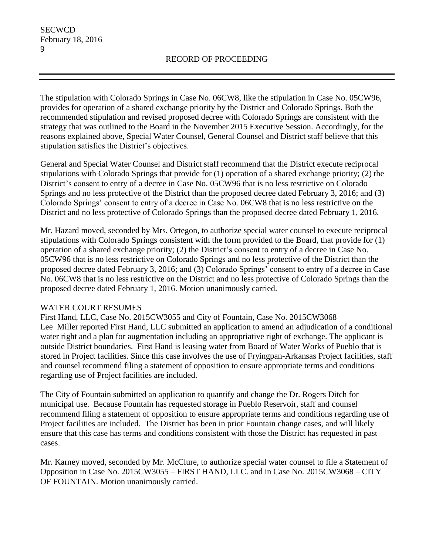The stipulation with Colorado Springs in Case No. 06CW8, like the stipulation in Case No. 05CW96, provides for operation of a shared exchange priority by the District and Colorado Springs. Both the recommended stipulation and revised proposed decree with Colorado Springs are consistent with the strategy that was outlined to the Board in the November 2015 Executive Session. Accordingly, for the reasons explained above, Special Water Counsel, General Counsel and District staff believe that this stipulation satisfies the District's objectives.

General and Special Water Counsel and District staff recommend that the District execute reciprocal stipulations with Colorado Springs that provide for (1) operation of a shared exchange priority; (2) the District's consent to entry of a decree in Case No. 05CW96 that is no less restrictive on Colorado Springs and no less protective of the District than the proposed decree dated February 3, 2016; and (3) Colorado Springs' consent to entry of a decree in Case No. 06CW8 that is no less restrictive on the District and no less protective of Colorado Springs than the proposed decree dated February 1, 2016.

Mr. Hazard moved, seconded by Mrs. Ortegon, to authorize special water counsel to execute reciprocal stipulations with Colorado Springs consistent with the form provided to the Board, that provide for (1) operation of a shared exchange priority; (2) the District's consent to entry of a decree in Case No. 05CW96 that is no less restrictive on Colorado Springs and no less protective of the District than the proposed decree dated February 3, 2016; and (3) Colorado Springs' consent to entry of a decree in Case No. 06CW8 that is no less restrictive on the District and no less protective of Colorado Springs than the proposed decree dated February 1, 2016. Motion unanimously carried.

## WATER COURT RESUMES

## First Hand, LLC, Case No. 2015CW3055 and City of Fountain, Case No. 2015CW3068

Lee Miller reported First Hand, LLC submitted an application to amend an adjudication of a conditional water right and a plan for augmentation including an appropriative right of exchange. The applicant is outside District boundaries. First Hand is leasing water from Board of Water Works of Pueblo that is stored in Project facilities. Since this case involves the use of Fryingpan-Arkansas Project facilities, staff and counsel recommend filing a statement of opposition to ensure appropriate terms and conditions regarding use of Project facilities are included.

The City of Fountain submitted an application to quantify and change the Dr. Rogers Ditch for municipal use. Because Fountain has requested storage in Pueblo Reservoir, staff and counsel recommend filing a statement of opposition to ensure appropriate terms and conditions regarding use of Project facilities are included. The District has been in prior Fountain change cases, and will likely ensure that this case has terms and conditions consistent with those the District has requested in past cases.

Mr. Karney moved, seconded by Mr. McClure, to authorize special water counsel to file a Statement of Opposition in Case No. 2015CW3055 – FIRST HAND, LLC. and in Case No. 2015CW3068 – CITY OF FOUNTAIN. Motion unanimously carried.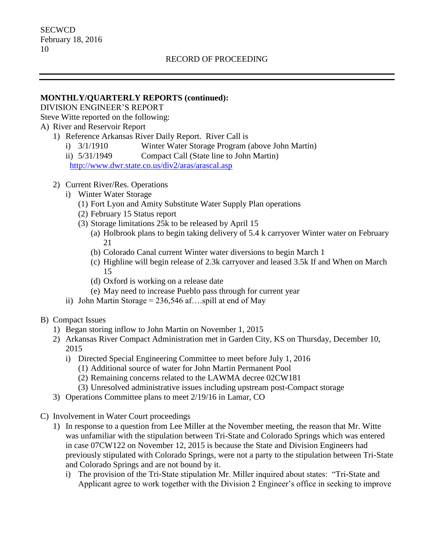### **MONTHLY/QUARTERLY REPORTS (continued):**

DIVISION ENGINEER'S REPORT

Steve Witte reported on the following:

# A) River and Reservoir Report

- 1) Reference Arkansas River Daily Report. River Call is
	- i) 3/1/1910 Winter Water Storage Program (above John Martin)
	- ii) 5/31/1949 Compact Call (State line to John Martin)

<http://www.dwr.state.co.us/div2/aras/arascal.asp>

- 2) Current River/Res. Operations
	- i) Winter Water Storage
		- (1) Fort Lyon and Amity Substitute Water Supply Plan operations
		- (2) February 15 Status report
		- (3) Storage limitations 25k to be released by April 15
			- (a) Holbrook plans to begin taking delivery of 5.4 k carryover Winter water on February 21
			- (b) Colorado Canal current Winter water diversions to begin March 1
			- (c) Highline will begin release of 2.3k carryover and leased 3.5k If and When on March 15
			- (d) Oxford is working on a release date
			- (e) May need to increase Pueblo pass through for current year
	- ii) John Martin Storage =  $236,546$  af...spill at end of May
- B) Compact Issues
	- 1) Began storing inflow to John Martin on November 1, 2015
	- 2) Arkansas River Compact Administration met in Garden City, KS on Thursday, December 10, 2015
		- i) Directed Special Engineering Committee to meet before July 1, 2016
			- (1) Additional source of water for John Martin Permanent Pool
			- (2) Remaining concerns related to the LAWMA decree 02CW181
			- (3) Unresolved administrative issues including upstream post-Compact storage
	- 3) Operations Committee plans to meet 2/19/16 in Lamar, CO
- C) Involvement in Water Court proceedings
	- 1) In response to a question from Lee Miller at the November meeting, the reason that Mr. Witte was unfamiliar with the stipulation between Tri-State and Colorado Springs which was entered in case 07CW122 on November 12, 2015 is because the State and Division Engineers had previously stipulated with Colorado Springs, were not a party to the stipulation between Tri-State and Colorado Springs and are not bound by it.
		- i) The provision of the Tri-State stipulation Mr. Miller inquired about states: "Tri-State and Applicant agree to work together with the Division 2 Engineer's office in seeking to improve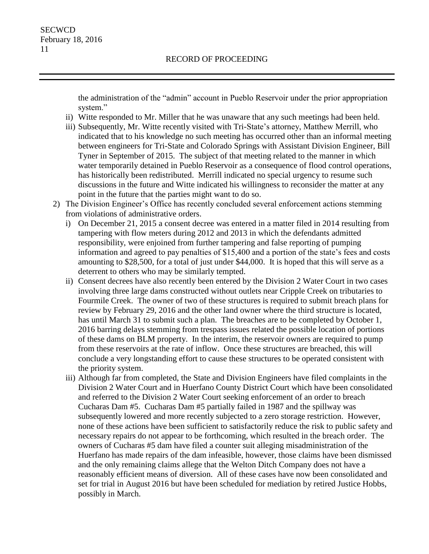the administration of the "admin" account in Pueblo Reservoir under the prior appropriation system."

- ii) Witte responded to Mr. Miller that he was unaware that any such meetings had been held.
- iii) Subsequently, Mr. Witte recently visited with Tri-State's attorney, Matthew Merrill, who indicated that to his knowledge no such meeting has occurred other than an informal meeting between engineers for Tri-State and Colorado Springs with Assistant Division Engineer, Bill Tyner in September of 2015. The subject of that meeting related to the manner in which water temporarily detained in Pueblo Reservoir as a consequence of flood control operations, has historically been redistributed. Merrill indicated no special urgency to resume such discussions in the future and Witte indicated his willingness to reconsider the matter at any point in the future that the parties might want to do so.
- 2) The Division Engineer's Office has recently concluded several enforcement actions stemming from violations of administrative orders.
	- i) On December 21, 2015 a consent decree was entered in a matter filed in 2014 resulting from tampering with flow meters during 2012 and 2013 in which the defendants admitted responsibility, were enjoined from further tampering and false reporting of pumping information and agreed to pay penalties of \$15,400 and a portion of the state's fees and costs amounting to \$28,500, for a total of just under \$44,000. It is hoped that this will serve as a deterrent to others who may be similarly tempted.
	- ii) Consent decrees have also recently been entered by the Division 2 Water Court in two cases involving three large dams constructed without outlets near Cripple Creek on tributaries to Fourmile Creek. The owner of two of these structures is required to submit breach plans for review by February 29, 2016 and the other land owner where the third structure is located, has until March 31 to submit such a plan. The breaches are to be completed by October 1, 2016 barring delays stemming from trespass issues related the possible location of portions of these dams on BLM property. In the interim, the reservoir owners are required to pump from these reservoirs at the rate of inflow. Once these structures are breached, this will conclude a very longstanding effort to cause these structures to be operated consistent with the priority system.
	- iii) Although far from completed, the State and Division Engineers have filed complaints in the Division 2 Water Court and in Huerfano County District Court which have been consolidated and referred to the Division 2 Water Court seeking enforcement of an order to breach Cucharas Dam #5. Cucharas Dam #5 partially failed in 1987 and the spillway was subsequently lowered and more recently subjected to a zero storage restriction. However, none of these actions have been sufficient to satisfactorily reduce the risk to public safety and necessary repairs do not appear to be forthcoming, which resulted in the breach order. The owners of Cucharas #5 dam have filed a counter suit alleging misadministration of the Huerfano has made repairs of the dam infeasible, however, those claims have been dismissed and the only remaining claims allege that the Welton Ditch Company does not have a reasonably efficient means of diversion. All of these cases have now been consolidated and set for trial in August 2016 but have been scheduled for mediation by retired Justice Hobbs, possibly in March.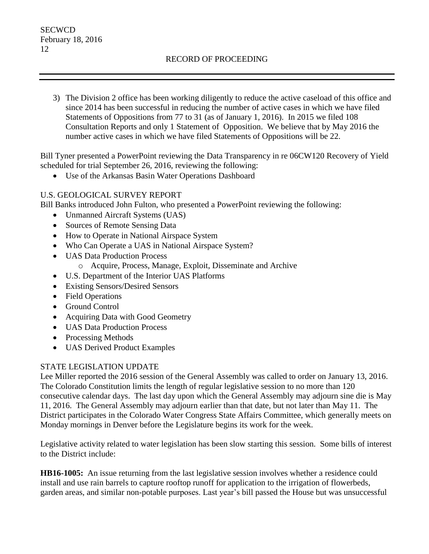3) The Division 2 office has been working diligently to reduce the active caseload of this office and since 2014 has been successful in reducing the number of active cases in which we have filed Statements of Oppositions from 77 to 31 (as of January 1, 2016). In 2015 we filed 108 Consultation Reports and only 1 Statement of Opposition. We believe that by May 2016 the number active cases in which we have filed Statements of Oppositions will be 22.

Bill Tyner presented a PowerPoint reviewing the Data Transparency in re 06CW120 Recovery of Yield scheduled for trial September 26, 2016, reviewing the following:

Use of the Arkansas Basin Water Operations Dashboard

## U.S. GEOLOGICAL SURVEY REPORT

Bill Banks introduced John Fulton, who presented a PowerPoint reviewing the following:

- Unmanned Aircraft Systems (UAS)
- Sources of Remote Sensing Data
- How to Operate in National Airspace System
- Who Can Operate a UAS in National Airspace System?
- UAS Data Production Process
	- o Acquire, Process, Manage, Exploit, Disseminate and Archive
- U.S. Department of the Interior UAS Platforms
- Existing Sensors/Desired Sensors
- Field Operations
- Ground Control
- Acquiring Data with Good Geometry
- UAS Data Production Process
- Processing Methods
- UAS Derived Product Examples

## STATE LEGISLATION UPDATE

Lee Miller reported the 2016 session of the General Assembly was called to order on January 13, 2016. The Colorado Constitution limits the length of regular legislative session to no more than 120 consecutive calendar days. The last day upon which the General Assembly may adjourn sine die is May 11, 2016. The General Assembly may adjourn earlier than that date, but not later than May 11. The District participates in the Colorado Water Congress State Affairs Committee, which generally meets on Monday mornings in Denver before the Legislature begins its work for the week.

Legislative activity related to water legislation has been slow starting this session. Some bills of interest to the District include:

**HB16-1005:** An issue returning from the last legislative session involves whether a residence could install and use rain barrels to capture rooftop runoff for application to the irrigation of flowerbeds, garden areas, and similar non-potable purposes. Last year's bill passed the House but was unsuccessful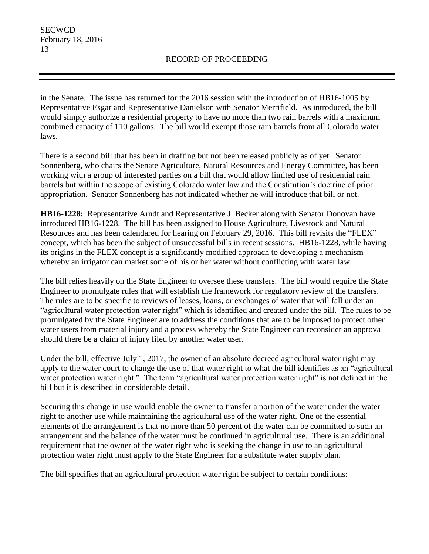in the Senate. The issue has returned for the 2016 session with the introduction of HB16-1005 by Representative Esgar and Representative Danielson with Senator Merrifield. As introduced, the bill would simply authorize a residential property to have no more than two rain barrels with a maximum combined capacity of 110 gallons. The bill would exempt those rain barrels from all Colorado water laws.

There is a second bill that has been in drafting but not been released publicly as of yet. Senator Sonnenberg, who chairs the Senate Agriculture, Natural Resources and Energy Committee, has been working with a group of interested parties on a bill that would allow limited use of residential rain barrels but within the scope of existing Colorado water law and the Constitution's doctrine of prior appropriation. Senator Sonnenberg has not indicated whether he will introduce that bill or not.

**HB16-1228:** Representative Arndt and Representative J. Becker along with Senator Donovan have introduced HB16-1228. The bill has been assigned to House Agriculture, Livestock and Natural Resources and has been calendared for hearing on February 29, 2016. This bill revisits the "FLEX" concept, which has been the subject of unsuccessful bills in recent sessions. HB16-1228, while having its origins in the FLEX concept is a significantly modified approach to developing a mechanism whereby an irrigator can market some of his or her water without conflicting with water law.

The bill relies heavily on the State Engineer to oversee these transfers. The bill would require the State Engineer to promulgate rules that will establish the framework for regulatory review of the transfers. The rules are to be specific to reviews of leases, loans, or exchanges of water that will fall under an "agricultural water protection water right" which is identified and created under the bill. The rules to be promulgated by the State Engineer are to address the conditions that are to be imposed to protect other water users from material injury and a process whereby the State Engineer can reconsider an approval should there be a claim of injury filed by another water user.

Under the bill, effective July 1, 2017, the owner of an absolute decreed agricultural water right may apply to the water court to change the use of that water right to what the bill identifies as an "agricultural water protection water right." The term "agricultural water protection water right" is not defined in the bill but it is described in considerable detail.

Securing this change in use would enable the owner to transfer a portion of the water under the water right to another use while maintaining the agricultural use of the water right. One of the essential elements of the arrangement is that no more than 50 percent of the water can be committed to such an arrangement and the balance of the water must be continued in agricultural use. There is an additional requirement that the owner of the water right who is seeking the change in use to an agricultural protection water right must apply to the State Engineer for a substitute water supply plan.

The bill specifies that an agricultural protection water right be subject to certain conditions: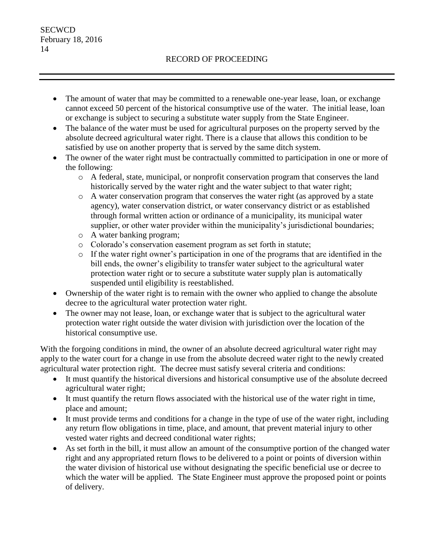- The amount of water that may be committed to a renewable one-year lease, loan, or exchange cannot exceed 50 percent of the historical consumptive use of the water. The initial lease, loan or exchange is subject to securing a substitute water supply from the State Engineer.
- The balance of the water must be used for agricultural purposes on the property served by the absolute decreed agricultural water right. There is a clause that allows this condition to be satisfied by use on another property that is served by the same ditch system.
- The owner of the water right must be contractually committed to participation in one or more of the following:
	- o A federal, state, municipal, or nonprofit conservation program that conserves the land historically served by the water right and the water subject to that water right;
	- o A water conservation program that conserves the water right (as approved by a state agency), water conservation district, or water conservancy district or as established through formal written action or ordinance of a municipality, its municipal water supplier, or other water provider within the municipality's jurisdictional boundaries;
	- o A water banking program;
	- o Colorado's conservation easement program as set forth in statute;
	- o If the water right owner's participation in one of the programs that are identified in the bill ends, the owner's eligibility to transfer water subject to the agricultural water protection water right or to secure a substitute water supply plan is automatically suspended until eligibility is reestablished.
- Ownership of the water right is to remain with the owner who applied to change the absolute decree to the agricultural water protection water right.
- The owner may not lease, loan, or exchange water that is subject to the agricultural water protection water right outside the water division with jurisdiction over the location of the historical consumptive use.

With the forgoing conditions in mind, the owner of an absolute decreed agricultural water right may apply to the water court for a change in use from the absolute decreed water right to the newly created agricultural water protection right. The decree must satisfy several criteria and conditions:

- It must quantify the historical diversions and historical consumptive use of the absolute decreed agricultural water right;
- It must quantify the return flows associated with the historical use of the water right in time, place and amount;
- It must provide terms and conditions for a change in the type of use of the water right, including any return flow obligations in time, place, and amount, that prevent material injury to other vested water rights and decreed conditional water rights;
- As set forth in the bill, it must allow an amount of the consumptive portion of the changed water right and any appropriated return flows to be delivered to a point or points of diversion within the water division of historical use without designating the specific beneficial use or decree to which the water will be applied. The State Engineer must approve the proposed point or points of delivery.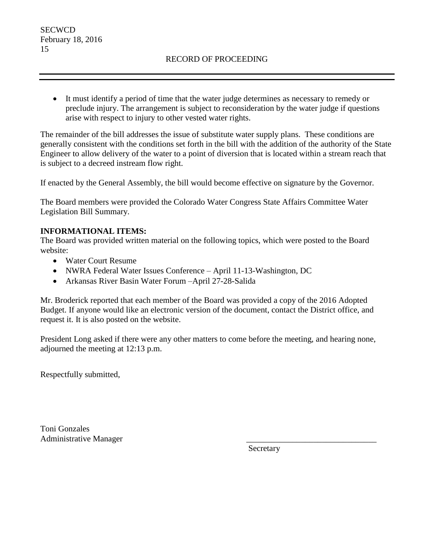It must identify a period of time that the water judge determines as necessary to remedy or preclude injury. The arrangement is subject to reconsideration by the water judge if questions arise with respect to injury to other vested water rights.

The remainder of the bill addresses the issue of substitute water supply plans. These conditions are generally consistent with the conditions set forth in the bill with the addition of the authority of the State Engineer to allow delivery of the water to a point of diversion that is located within a stream reach that is subject to a decreed instream flow right.

If enacted by the General Assembly, the bill would become effective on signature by the Governor.

The Board members were provided the Colorado Water Congress State Affairs Committee Water Legislation Bill Summary.

## **INFORMATIONAL ITEMS:**

The Board was provided written material on the following topics, which were posted to the Board website:

- Water Court Resume
- NWRA Federal Water Issues Conference April 11-13-Washington, DC
- Arkansas River Basin Water Forum –April 27-28-Salida

Mr. Broderick reported that each member of the Board was provided a copy of the 2016 Adopted Budget. If anyone would like an electronic version of the document, contact the District office, and request it. It is also posted on the website.

President Long asked if there were any other matters to come before the meeting, and hearing none, adjourned the meeting at 12:13 p.m.

Respectfully submitted,

Toni Gonzales Administrative Manager \_\_\_\_\_\_\_\_\_\_\_\_\_\_\_\_\_\_\_\_\_\_\_\_\_\_\_\_\_\_\_

Secretary